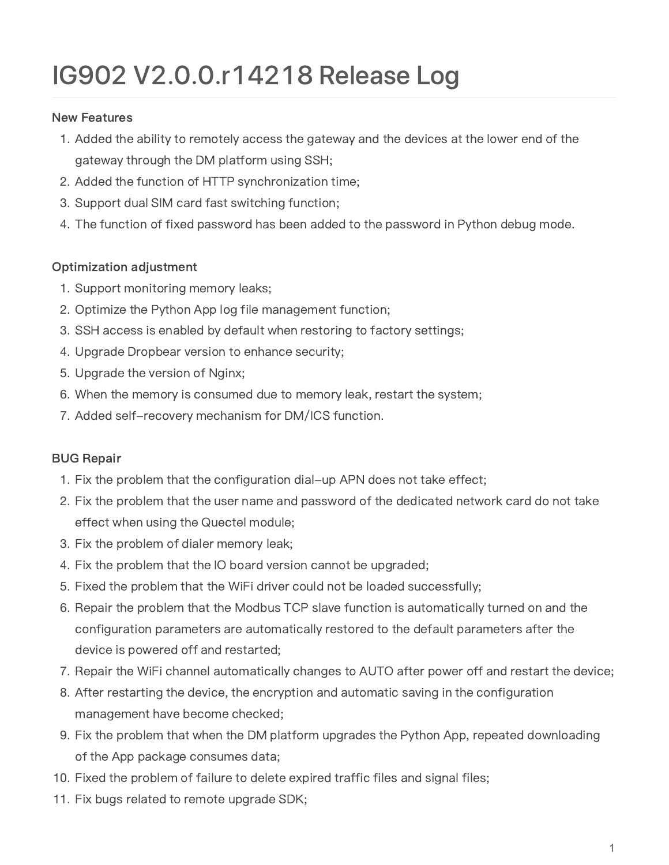## IG 902 V2.0.0.r 14218 Release Log

## New Features

- 1. Added the ability to remotely access the gateway and the devices at the lower end of the gateway through the DM platform using SSH;
- 2. Added the function of HTTP synchronization time;
- 3. Support dual SIM card fast switching function;
- 4. The function of fixed password has been added to the password in Python debug mode.

## Optimization adjustment

- 1. Support monitoring memory leaks;
- 2. Optimize the Python App log file management function;
- 3. SSH access is enabled by default when restoring to factory settings;
- 4. Upgrade Dropbear version to enhance security;
- 5. Upgrade the version of Nginx;
- 6. When the memory is consumed due to memory leak, restart the system;
- 7. Added self-recovery mechanism for DM/ICS function.

## BUG Repair

- 1. Fix the problem that the configuration dial-up APN does not take effect;
- 2. Fix the problem that the user name and password of the dedicated network card do not take effect when using the Quectel module;
- 3. Fix the problem of dialer memory leak;
- 4. Fix the problem that the IO board version cannot be upgraded;
- 5. Fixed the problem that the WiFi driver could not be loaded successfully;
- 6. Repair the problem that the Modbus TCP slave function is automatically turned on and the configuration parameters are automatically restored to the default parameters after the device is powered off and restarted;
- 7. Repair the WiFi channel automatically changes to AUTO after power off and restart the device;
- 8. After restarting the device, the encryption and automatic saving in the configuration management have become checked;
- 9. Fix the problem that when the DM platform upgrades the Python App, repeated downloading of the App package consumes data;
- 10. Fixed the problem of failure to delete expired traffic files and signal files;
- 11. Fix bugs related to remote upgrade SDK;